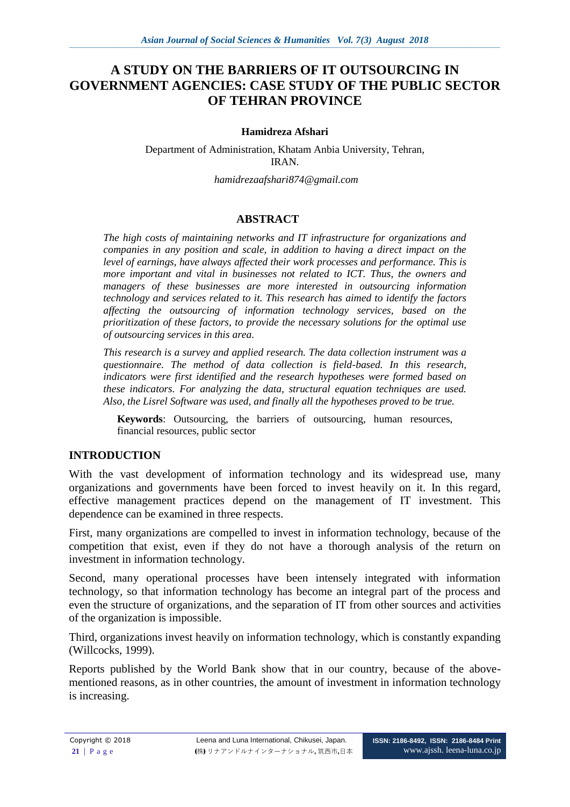# **A STUDY ON THE BARRIERS OF IT OUTSOURCING IN GOVERNMENT AGENCIES: CASE STUDY OF THE PUBLIC SECTOR OF TEHRAN PROVINCE**

### **Hamidreza Afshari**

Department of Administration, Khatam Anbia University, Tehran, IRAN.

*hamidrezaafshari874@gmail.com*

# **ABSTRACT**

*The high costs of maintaining networks and IT infrastructure for organizations and companies in any position and scale, in addition to having a direct impact on the level of earnings, have always affected their work processes and performance. This is more important and vital in businesses not related to ICT. Thus, the owners and managers of these businesses are more interested in outsourcing information technology and services related to it. This research has aimed to identify the factors affecting the outsourcing of information technology services, based on the prioritization of these factors, to provide the necessary solutions for the optimal use of outsourcing services in this area.*

*This research is a survey and applied research. The data collection instrument was a questionnaire. The method of data collection is field-based. In this research, indicators were first identified and the research hypotheses were formed based on these indicators. For analyzing the data, structural equation techniques are used. Also, the Lisrel Software was used, and finally all the hypotheses proved to be true.*

**Keywords**: Outsourcing, the barriers of outsourcing, human resources, financial resources, public sector

## **INTRODUCTION**

With the vast development of information technology and its widespread use, many organizations and governments have been forced to invest heavily on it. In this regard, effective management practices depend on the management of IT investment. This dependence can be examined in three respects.

First, many organizations are compelled to invest in information technology, because of the competition that exist, even if they do not have a thorough analysis of the return on investment in information technology.

Second, many operational processes have been intensely integrated with information technology, so that information technology has become an integral part of the process and even the structure of organizations, and the separation of IT from other sources and activities of the organization is impossible.

Third, organizations invest heavily on information technology, which is constantly expanding (Willcocks, 1999).

Reports published by the World Bank show that in our country, because of the abovementioned reasons, as in other countries, the amount of investment in information technology is increasing.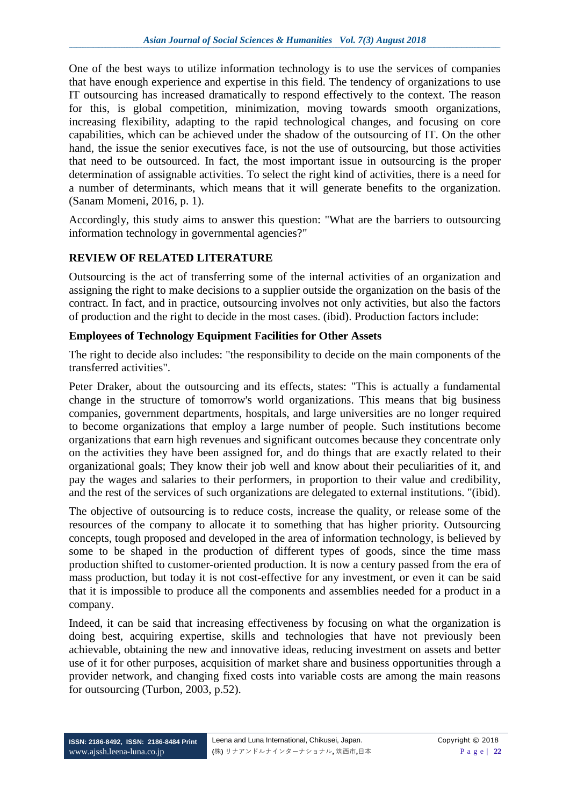One of the best ways to utilize information technology is to use the services of companies that have enough experience and expertise in this field. The tendency of organizations to use IT outsourcing has increased dramatically to respond effectively to the context. The reason for this, is global competition, minimization, moving towards smooth organizations, increasing flexibility, adapting to the rapid technological changes, and focusing on core capabilities, which can be achieved under the shadow of the outsourcing of IT. On the other hand, the issue the senior executives face, is not the use of outsourcing, but those activities that need to be outsourced. In fact, the most important issue in outsourcing is the proper determination of assignable activities. To select the right kind of activities, there is a need for a number of determinants, which means that it will generate benefits to the organization. (Sanam Momeni, 2016, p. 1).

Accordingly, this study aims to answer this question: "What are the barriers to outsourcing information technology in governmental agencies?"

# **REVIEW OF RELATED LITERATURE**

Outsourcing is the act of transferring some of the internal activities of an organization and assigning the right to make decisions to a supplier outside the organization on the basis of the contract. In fact, and in practice, outsourcing involves not only activities, but also the factors of production and the right to decide in the most cases. (ibid). Production factors include:

# **Employees of Technology Equipment Facilities for Other Assets**

The right to decide also includes: "the responsibility to decide on the main components of the transferred activities".

Peter Draker, about the outsourcing and its effects, states: "This is actually a fundamental change in the structure of tomorrow's world organizations. This means that big business companies, government departments, hospitals, and large universities are no longer required to become organizations that employ a large number of people. Such institutions become organizations that earn high revenues and significant outcomes because they concentrate only on the activities they have been assigned for, and do things that are exactly related to their organizational goals; They know their job well and know about their peculiarities of it, and pay the wages and salaries to their performers, in proportion to their value and credibility, and the rest of the services of such organizations are delegated to external institutions. "(ibid).

The objective of outsourcing is to reduce costs, increase the quality, or release some of the resources of the company to allocate it to something that has higher priority. Outsourcing concepts, tough proposed and developed in the area of information technology, is believed by some to be shaped in the production of different types of goods, since the time mass production shifted to customer-oriented production. It is now a century passed from the era of mass production, but today it is not cost-effective for any investment, or even it can be said that it is impossible to produce all the components and assemblies needed for a product in a company.

Indeed, it can be said that increasing effectiveness by focusing on what the organization is doing best, acquiring expertise, skills and technologies that have not previously been achievable, obtaining the new and innovative ideas, reducing investment on assets and better use of it for other purposes, acquisition of market share and business opportunities through a provider network, and changing fixed costs into variable costs are among the main reasons for outsourcing (Turbon, 2003, p.52).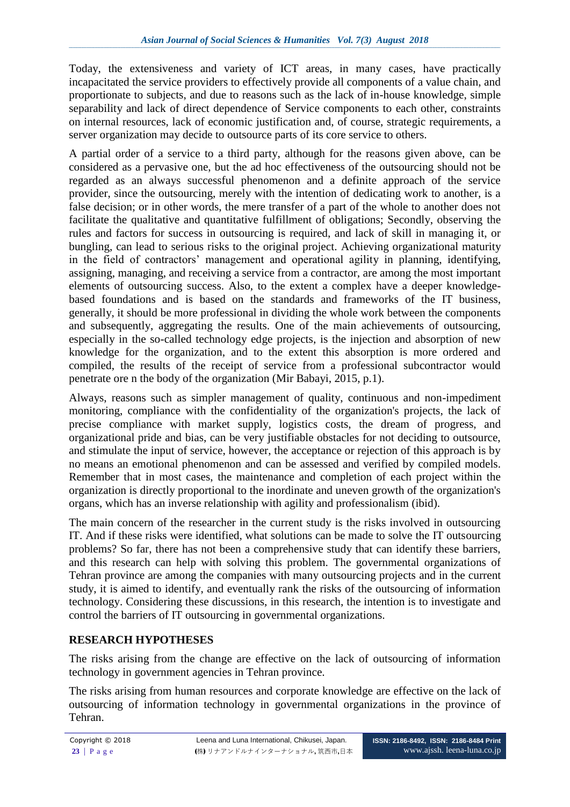Today, the extensiveness and variety of ICT areas, in many cases, have practically incapacitated the service providers to effectively provide all components of a value chain, and proportionate to subjects, and due to reasons such as the lack of in-house knowledge, simple separability and lack of direct dependence of Service components to each other, constraints on internal resources, lack of economic justification and, of course, strategic requirements, a server organization may decide to outsource parts of its core service to others.

A partial order of a service to a third party, although for the reasons given above, can be considered as a pervasive one, but the ad hoc effectiveness of the outsourcing should not be regarded as an always successful phenomenon and a definite approach of the service provider, since the outsourcing, merely with the intention of dedicating work to another, is a false decision; or in other words, the mere transfer of a part of the whole to another does not facilitate the qualitative and quantitative fulfillment of obligations; Secondly, observing the rules and factors for success in outsourcing is required, and lack of skill in managing it, or bungling, can lead to serious risks to the original project. Achieving organizational maturity in the field of contractors' management and operational agility in planning, identifying, assigning, managing, and receiving a service from a contractor, are among the most important elements of outsourcing success. Also, to the extent a complex have a deeper knowledgebased foundations and is based on the standards and frameworks of the IT business, generally, it should be more professional in dividing the whole work between the components and subsequently, aggregating the results. One of the main achievements of outsourcing, especially in the so-called technology edge projects, is the injection and absorption of new knowledge for the organization, and to the extent this absorption is more ordered and compiled, the results of the receipt of service from a professional subcontractor would penetrate ore n the body of the organization (Mir Babayi, 2015, p.1).

Always, reasons such as simpler management of quality, continuous and non-impediment monitoring, compliance with the confidentiality of the organization's projects, the lack of precise compliance with market supply, logistics costs, the dream of progress, and organizational pride and bias, can be very justifiable obstacles for not deciding to outsource, and stimulate the input of service, however, the acceptance or rejection of this approach is by no means an emotional phenomenon and can be assessed and verified by compiled models. Remember that in most cases, the maintenance and completion of each project within the organization is directly proportional to the inordinate and uneven growth of the organization's organs, which has an inverse relationship with agility and professionalism (ibid).

The main concern of the researcher in the current study is the risks involved in outsourcing IT. And if these risks were identified, what solutions can be made to solve the IT outsourcing problems? So far, there has not been a comprehensive study that can identify these barriers, and this research can help with solving this problem. The governmental organizations of Tehran province are among the companies with many outsourcing projects and in the current study, it is aimed to identify, and eventually rank the risks of the outsourcing of information technology. Considering these discussions, in this research, the intention is to investigate and control the barriers of IT outsourcing in governmental organizations.

# **RESEARCH HYPOTHESES**

The risks arising from the change are effective on the lack of outsourcing of information technology in government agencies in Tehran province.

The risks arising from human resources and corporate knowledge are effective on the lack of outsourcing of information technology in governmental organizations in the province of Tehran.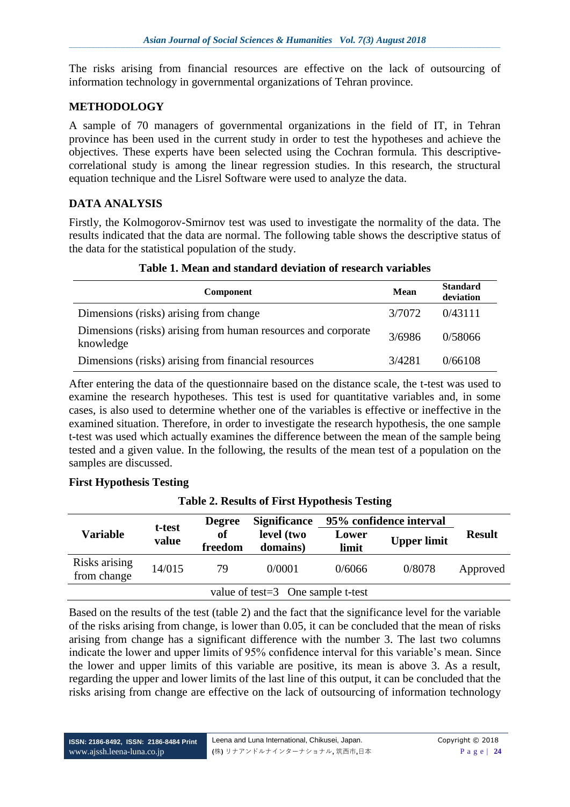The risks arising from financial resources are effective on the lack of outsourcing of information technology in governmental organizations of Tehran province.

## **METHODOLOGY**

A sample of 70 managers of governmental organizations in the field of IT, in Tehran province has been used in the current study in order to test the hypotheses and achieve the objectives. These experts have been selected using the Cochran formula. This descriptivecorrelational study is among the linear regression studies. In this research, the structural equation technique and the Lisrel Software were used to analyze the data.

# **DATA ANALYSIS**

Firstly, the Kolmogorov-Smirnov test was used to investigate the normality of the data. The results indicated that the data are normal. The following table shows the descriptive status of the data for the statistical population of the study.

| Component                                                                  | <b>Mean</b> | <b>Standard</b><br>deviation |
|----------------------------------------------------------------------------|-------------|------------------------------|
| Dimensions (risks) arising from change                                     | 3/7072      | 0/43111                      |
| Dimensions (risks) arising from human resources and corporate<br>knowledge | 3/6986      | 0/58066                      |
| Dimensions (risks) arising from financial resources                        | 3/4281      | 0/66108                      |

# **Table 1. Mean and standard deviation of research variables**

After entering the data of the questionnaire based on the distance scale, the t-test was used to examine the research hypotheses. This test is used for quantitative variables and, in some cases, is also used to determine whether one of the variables is effective or ineffective in the examined situation. Therefore, in order to investigate the research hypothesis, the one sample t-test was used which actually examines the difference between the mean of the sample being tested and a given value. In the following, the results of the mean test of a population on the samples are discussed.

## **First Hypothesis Testing**

| $\frac{1}{2}$ and $\frac{2}{3}$ . Acsums of First Hypothesis Testing |               |                        |                                   |                         |               |          |
|----------------------------------------------------------------------|---------------|------------------------|-----------------------------------|-------------------------|---------------|----------|
|                                                                      |               | <b>Degree</b>          | <b>Significance</b>               | 95% confidence interval | <b>Result</b> |          |
| t-test<br><b>Variable</b><br>value                                   | of<br>freedom | level (two<br>domains) | Lower<br>limit                    | <b>Upper limit</b>      |               |          |
| Risks arising<br>from change                                         | 14/015        | 79                     | 0/0001                            | 0/6066                  | 0/8078        | Approved |
|                                                                      |               |                        | value of test=3 One sample t-test |                         |               |          |

#### **Table 2. Results of First Hypothesis Testing**

Based on the results of the test (table 2) and the fact that the significance level for the variable of the risks arising from change, is lower than 0.05, it can be concluded that the mean of risks arising from change has a significant difference with the number 3. The last two columns indicate the lower and upper limits of 95% confidence interval for this variable's mean. Since the lower and upper limits of this variable are positive, its mean is above 3. As a result, regarding the upper and lower limits of the last line of this output, it can be concluded that the risks arising from change are effective on the lack of outsourcing of information technology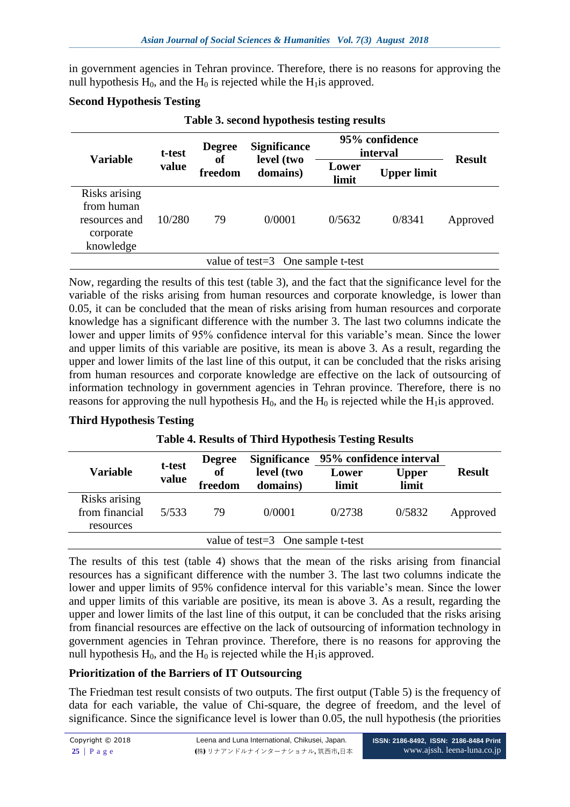in government agencies in Tehran province. Therefore, there is no reasons for approving the null hypothesis  $H_0$ , and the  $H_0$  is rejected while the  $H_1$  is approved.

#### **Second Hypothesis Testing**

| <b>Variable</b>                                                        | t-test | <b>Degree</b> | <b>Significance</b><br>level (two    |                | 95% confidence<br>interval | <b>Result</b> |
|------------------------------------------------------------------------|--------|---------------|--------------------------------------|----------------|----------------------------|---------------|
|                                                                        | value  | оf<br>freedom | domains)                             | Lower<br>limit | <b>Upper limit</b>         |               |
| Risks arising<br>from human<br>resources and<br>corporate<br>knowledge | 10/280 | 79            | 0/0001                               | 0/5632         | 0/8341                     | Approved      |
|                                                                        |        |               | value of test= $3$ One sample t-test |                |                            |               |

**Table 3. second hypothesis testing results**

Now, regarding the results of this test (table 3), and the fact that the significance level for the variable of the risks arising from human resources and corporate knowledge, is lower than 0.05, it can be concluded that the mean of risks arising from human resources and corporate knowledge has a significant difference with the number 3. The last two columns indicate the lower and upper limits of 95% confidence interval for this variable's mean. Since the lower and upper limits of this variable are positive, its mean is above 3. As a result, regarding the upper and lower limits of the last line of this output, it can be concluded that the risks arising from human resources and corporate knowledge are effective on the lack of outsourcing of information technology in government agencies in Tehran province. Therefore, there is no reasons for approving the null hypothesis  $H_0$ , and the  $H_0$  is rejected while the  $H_1$ is approved.

#### **Third Hypothesis Testing**

|  | <b>Table 4. Results of Third Hypothesis Testing Results</b> |  |
|--|-------------------------------------------------------------|--|
|  |                                                             |  |

| <b>Variable</b>                              | t-test<br>value | <b>Degree</b><br>of<br>freedom | Significance 95% confidence interval<br>level (two<br>domains) | Lower<br>limit | <b>Upper</b><br>limit | <b>Result</b> |
|----------------------------------------------|-----------------|--------------------------------|----------------------------------------------------------------|----------------|-----------------------|---------------|
| Risks arising<br>from financial<br>resources | 5/533           | 79                             | 0/0001                                                         | 0/2738         | 0/5832                | Approved      |
|                                              |                 |                                | value of test= $3$ One sample t-test                           |                |                       |               |

The results of this test (table 4) shows that the mean of the risks arising from financial resources has a significant difference with the number 3. The last two columns indicate the lower and upper limits of 95% confidence interval for this variable's mean. Since the lower and upper limits of this variable are positive, its mean is above 3. As a result, regarding the upper and lower limits of the last line of this output, it can be concluded that the risks arising from financial resources are effective on the lack of outsourcing of information technology in government agencies in Tehran province. Therefore, there is no reasons for approving the null hypothesis  $H_0$ , and the  $H_0$  is rejected while the  $H_1$ is approved.

## **Prioritization of the Barriers of IT Outsourcing**

The Friedman test result consists of two outputs. The first output (Table 5) is the frequency of data for each variable, the value of Chi-square, the degree of freedom, and the level of significance. Since the significance level is lower than 0.05, the null hypothesis (the priorities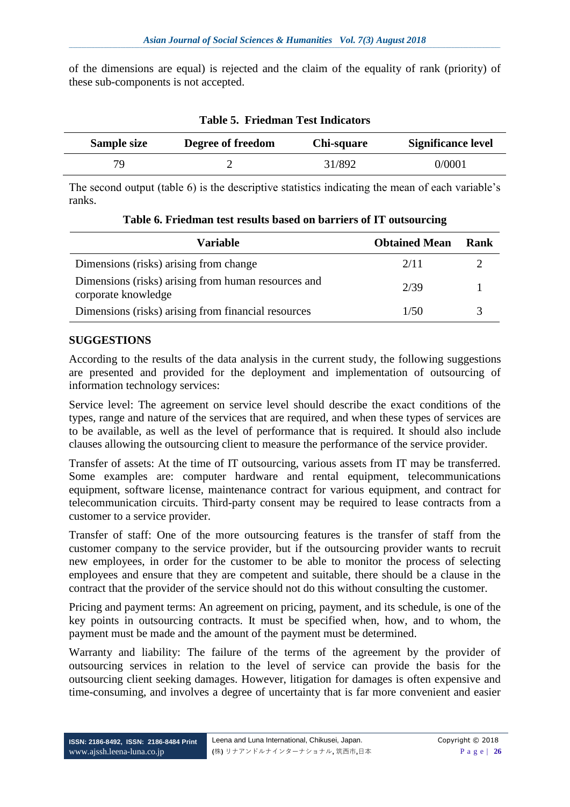of the dimensions are equal) is rejected and the claim of the equality of rank (priority) of these sub-components is not accepted.

| Sample size | Degree of freedom | Chi-square | <b>Significance level</b> |
|-------------|-------------------|------------|---------------------------|
| 70          |                   | 31/892     | 0/0001                    |

### **Table 5. Friedman Test Indicators**

The second output (table 6) is the descriptive statistics indicating the mean of each variable's ranks.

| <b>Variable</b>                                                            | <b>Obtained Mean</b> | Rank |
|----------------------------------------------------------------------------|----------------------|------|
| Dimensions (risks) arising from change                                     | 2/11                 |      |
| Dimensions (risks) arising from human resources and<br>corporate knowledge | 2/39                 |      |
| Dimensions (risks) arising from financial resources                        | 1/50                 |      |

# **Table 6. Friedman test results based on barriers of IT outsourcing**

#### **SUGGESTIONS**

According to the results of the data analysis in the current study, the following suggestions are presented and provided for the deployment and implementation of outsourcing of information technology services:

Service level: The agreement on service level should describe the exact conditions of the types, range and nature of the services that are required, and when these types of services are to be available, as well as the level of performance that is required. It should also include clauses allowing the outsourcing client to measure the performance of the service provider.

Transfer of assets: At the time of IT outsourcing, various assets from IT may be transferred. Some examples are: computer hardware and rental equipment, telecommunications equipment, software license, maintenance contract for various equipment, and contract for telecommunication circuits. Third-party consent may be required to lease contracts from a customer to a service provider.

Transfer of staff: One of the more outsourcing features is the transfer of staff from the customer company to the service provider, but if the outsourcing provider wants to recruit new employees, in order for the customer to be able to monitor the process of selecting employees and ensure that they are competent and suitable, there should be a clause in the contract that the provider of the service should not do this without consulting the customer.

Pricing and payment terms: An agreement on pricing, payment, and its schedule, is one of the key points in outsourcing contracts. It must be specified when, how, and to whom, the payment must be made and the amount of the payment must be determined.

Warranty and liability: The failure of the terms of the agreement by the provider of outsourcing services in relation to the level of service can provide the basis for the outsourcing client seeking damages. However, litigation for damages is often expensive and time-consuming, and involves a degree of uncertainty that is far more convenient and easier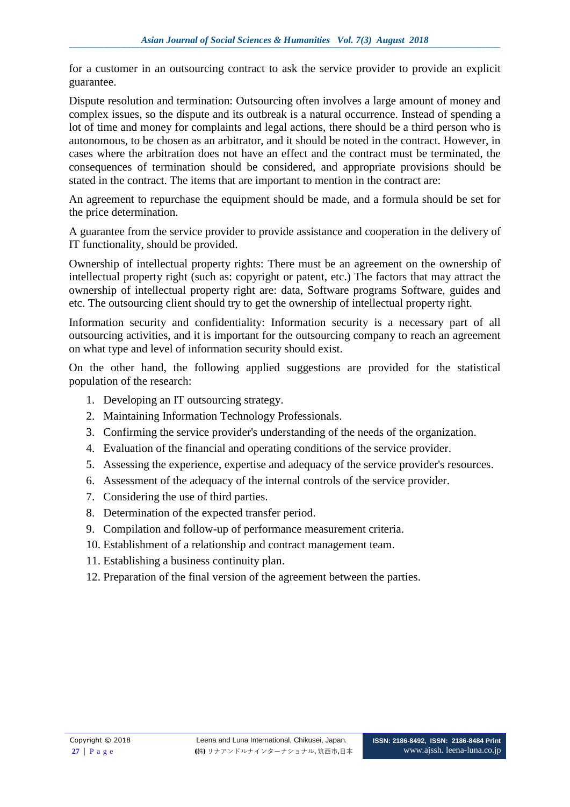for a customer in an outsourcing contract to ask the service provider to provide an explicit guarantee.

Dispute resolution and termination: Outsourcing often involves a large amount of money and complex issues, so the dispute and its outbreak is a natural occurrence. Instead of spending a lot of time and money for complaints and legal actions, there should be a third person who is autonomous, to be chosen as an arbitrator, and it should be noted in the contract. However, in cases where the arbitration does not have an effect and the contract must be terminated, the consequences of termination should be considered, and appropriate provisions should be stated in the contract. The items that are important to mention in the contract are:

An agreement to repurchase the equipment should be made, and a formula should be set for the price determination.

A guarantee from the service provider to provide assistance and cooperation in the delivery of IT functionality, should be provided.

Ownership of intellectual property rights: There must be an agreement on the ownership of intellectual property right (such as: copyright or patent, etc.) The factors that may attract the ownership of intellectual property right are: data, Software programs Software, guides and etc. The outsourcing client should try to get the ownership of intellectual property right.

Information security and confidentiality: Information security is a necessary part of all outsourcing activities, and it is important for the outsourcing company to reach an agreement on what type and level of information security should exist.

On the other hand, the following applied suggestions are provided for the statistical population of the research:

- 1. Developing an IT outsourcing strategy.
- 2. Maintaining Information Technology Professionals.
- 3. Confirming the service provider's understanding of the needs of the organization.
- 4. Evaluation of the financial and operating conditions of the service provider.
- 5. Assessing the experience, expertise and adequacy of the service provider's resources.
- 6. Assessment of the adequacy of the internal controls of the service provider.
- 7. Considering the use of third parties.
- 8. Determination of the expected transfer period.
- 9. Compilation and follow-up of performance measurement criteria.
- 10. Establishment of a relationship and contract management team.
- 11. Establishing a business continuity plan.
- 12. Preparation of the final version of the agreement between the parties.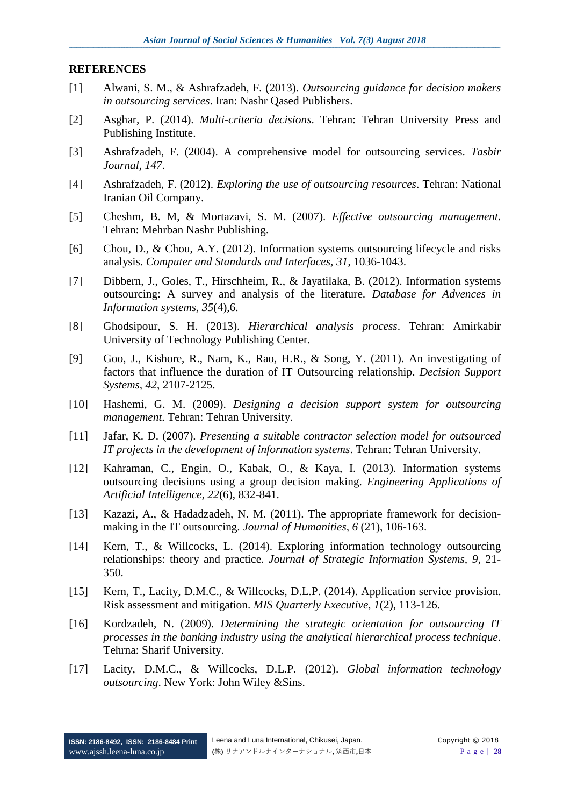#### **REFERENCES**

- [1] Alwani, S. M., & Ashrafzadeh, F. (2013). *Outsourcing guidance for decision makers in outsourcing services*. Iran: Nashr Qased Publishers.
- [2] Asghar, P. (2014). *Multi-criteria decisions*. Tehran: Tehran University Press and Publishing Institute.
- [3] Ashrafzadeh, F. (2004). A comprehensive model for outsourcing services. *Tasbir Journal, 147*.
- [4] Ashrafzadeh, F. (2012). *Exploring the use of outsourcing resources*. Tehran: National Iranian Oil Company.
- [5] Cheshm, B. M, & Mortazavi, S. M. (2007). *Effective outsourcing management*. Tehran: Mehrban Nashr Publishing.
- [6] Chou, D., & Chou, A.Y. (2012). Information systems outsourcing lifecycle and risks analysis. *Computer and Standards and Interfaces, 31*, 1036-1043.
- [7] Dibbern, J., Goles, T., Hirschheim, R., & Jayatilaka, B. (2012). Information systems outsourcing: A survey and analysis of the literature. *Database for Advences in Information systems, 35*(4),6.
- [8] Ghodsipour, S. H. (2013). *Hierarchical analysis process*. Tehran: Amirkabir University of Technology Publishing Center.
- [9] Goo, J., Kishore, R., Nam, K., Rao, H.R., & Song, Y. (2011). An investigating of factors that influence the duration of IT Outsourcing relationship. *Decision Support Systems, 42*, 2107-2125.
- [10] Hashemi, G. M. (2009). *Designing a decision support system for outsourcing management*. Tehran: Tehran University.
- [11] Jafar, K. D. (2007). *Presenting a suitable contractor selection model for outsourced IT projects in the development of information systems*. Tehran: Tehran University.
- [12] Kahraman, C., Engin, O., Kabak, O., & Kaya, I. (2013). Information systems outsourcing decisions using a group decision making. *Engineering Applications of Artificial Intelligence, 22*(6), 832-841.
- [13] Kazazi, A., & Hadadzadeh, N. M. (2011). The appropriate framework for decisionmaking in the IT outsourcing. *Journal of Humanities, 6* (21), 106-163.
- [14] Kern, T., & Willcocks, L. (2014). Exploring information technology outsourcing relationships: theory and practice. *Journal of Strategic Information Systems, 9*, 21- 350.
- [15] Kern, T., Lacity, D.M.C., & Willcocks, D.L.P. (2014). Application service provision. Risk assessment and mitigation. *MIS Quarterly Executive, 1*(2), 113-126.
- [16] Kordzadeh, N. (2009). *Determining the strategic orientation for outsourcing IT processes in the banking industry using the analytical hierarchical process technique*. Tehrna: Sharif University.
- [17] Lacity, D.M.C., & Willcocks, D.L.P. (2012). *Global information technology outsourcing*. New York: John Wiley &Sins.